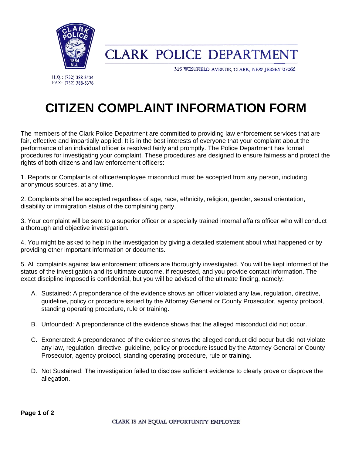

**CLARK POLICE DEPARTMENT** 

315 WESTFIELD AVENUE, CLARK, NEW JERSEY 07066

H.Q.: (732) 388-3434 FAX: (732) 388-5376

# **CITIZEN COMPLAINT INFORMATION FORM**

The members of the Clark Police Department are committed to providing law enforcement services that are fair, effective and impartially applied. It is in the best interests of everyone that your complaint about the performance of an individual officer is resolved fairly and promptly. The Police Department has formal procedures for investigating your complaint. These procedures are designed to ensure fairness and protect the rights of both citizens and law enforcement officers:

1. Reports or Complaints of officer/employee misconduct must be accepted from any person, including anonymous sources, at any time.

2. Complaints shall be accepted regardless of age, race, ethnicity, religion, gender, sexual orientation, disability or immigration status of the complaining party.

3. Your complaint will be sent to a superior officer or a specially trained internal affairs officer who will conduct a thorough and objective investigation.

4. You might be asked to help in the investigation by giving a detailed statement about what happened or by providing other important information or documents.

5. All complaints against law enforcement officers are thoroughly investigated. You will be kept informed of the status of the investigation and its ultimate outcome, if requested, and you provide contact information. The exact discipline imposed is confidential, but you will be advised of the ultimate finding, namely:

- A. Sustained: A preponderance of the evidence shows an officer violated any law, regulation, directive, guideline, policy or procedure issued by the Attorney General or County Prosecutor, agency protocol, standing operating procedure, rule or training.
- B. Unfounded: A preponderance of the evidence shows that the alleged misconduct did not occur.
- C. Exonerated: A preponderance of the evidence shows the alleged conduct did occur but did not violate any law, regulation, directive, guideline, policy or procedure issued by the Attorney General or County Prosecutor, agency protocol, standing operating procedure, rule or training.
- D. Not Sustained: The investigation failed to disclose sufficient evidence to clearly prove or disprove the allegation.